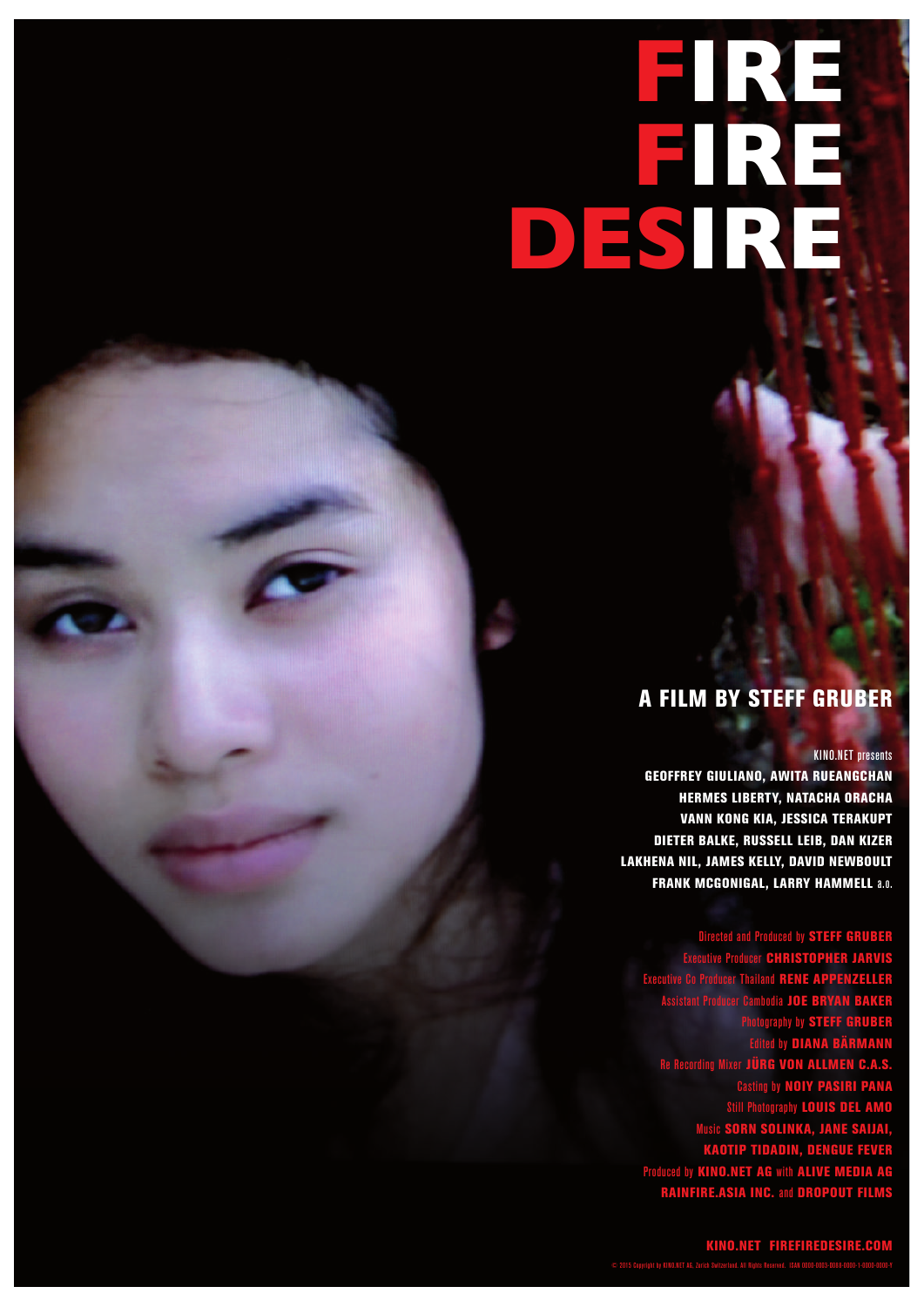# **FIRE FIRE DESIRE**

## A FILM BY STEFF GRUBER

#### KINO.NET presents

GEOFFREY GIULIANO, AWITA RUEANGCHAN HERMES LIBERTY, NATACHA ORACHA VANN KONG KIA, JESSICA TERAKUPT DIETER BALKE, RUSSELL LEIB, DAN KIZER LAKHENA NIL, JAMES KELLY, DAVID NEWBOULT FRANK MCGONIGAL, LARRY HAMMELL a.o.

Directed and Produced by STEFF GRUBER Executive Producer CHRISTOPHER JARVIS Executive Co Producer Thailand RENE APPENZELLER Assistant Producer Cambodia JOE BRYAN BAKER Photography by STEFF GRUBER Edited by DIANA BÄRMANN Re Recording Mixer JÜRG VON ALLMEN C.A.S. Casting by NOIY PASIRI PANA Still Photography LOUIS DEL AMO Music SORN SOLINKA, JANE SAIJAI, KAOTIP TIDADIN, DENGUE FEVER Produced by KINO.NET AG with ALIVE MEDIA AG RAINFIRE.ASIA INC. and DROPOUT FILMS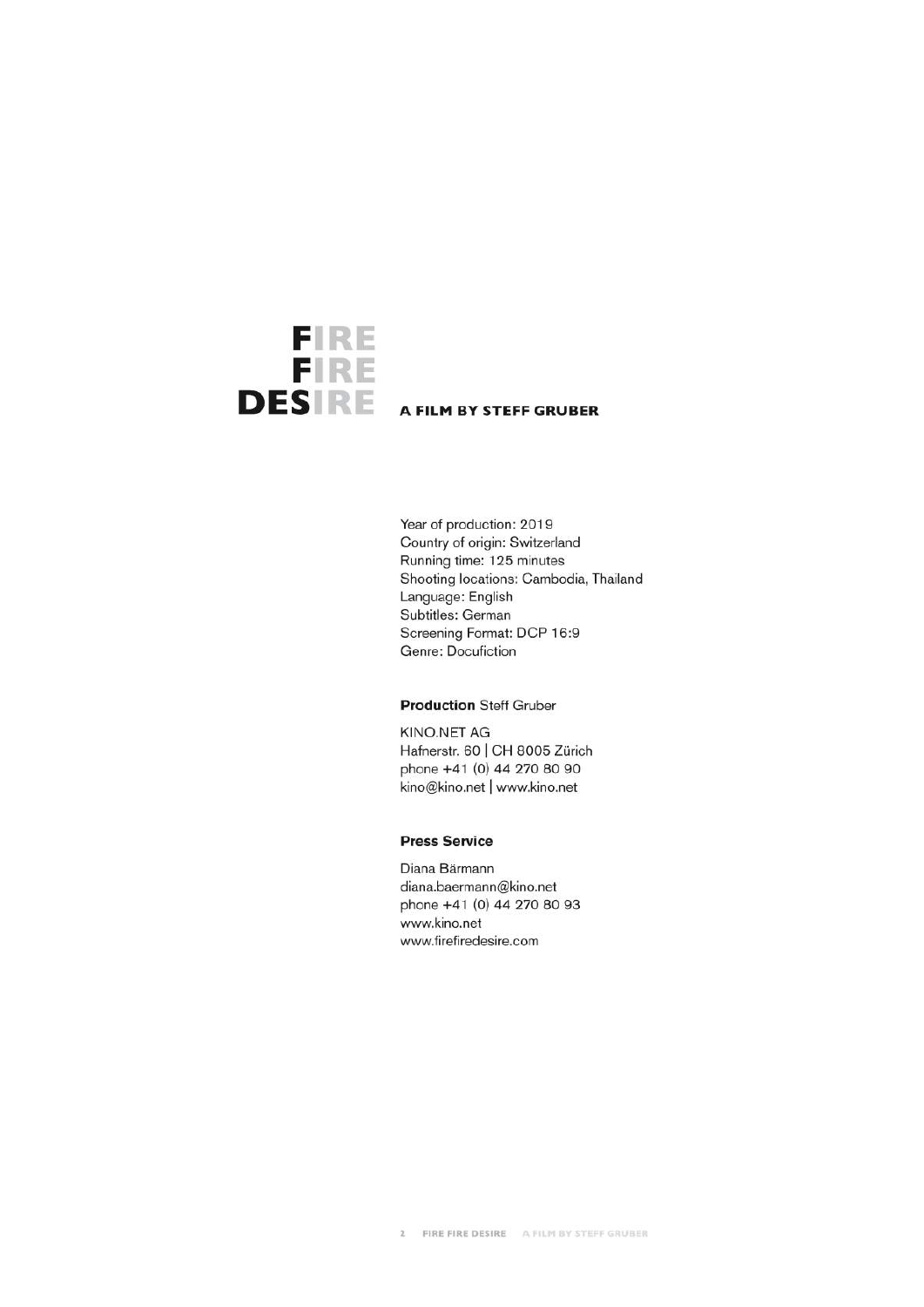

Year of production: 2019 Country of origin: Switzerland Running time: 125 minutes Shooting locations: Cambodia, Thailand Language: English Subtitles: German Screening Format: DCP 16:9 Genre: Docufiction

#### **Production Steff Gruber**

**KINO.NET AG** Hafnerstr. 60 | CH 8005 Zürich phone +41 (0) 44 270 80 90 kino@kino.net | www.kino.net

#### **Press Service**

Diana Bärmann diana.baermann@kino.net phone +41 (0) 44 270 80 93 www.kino.net www.firefiredesire.com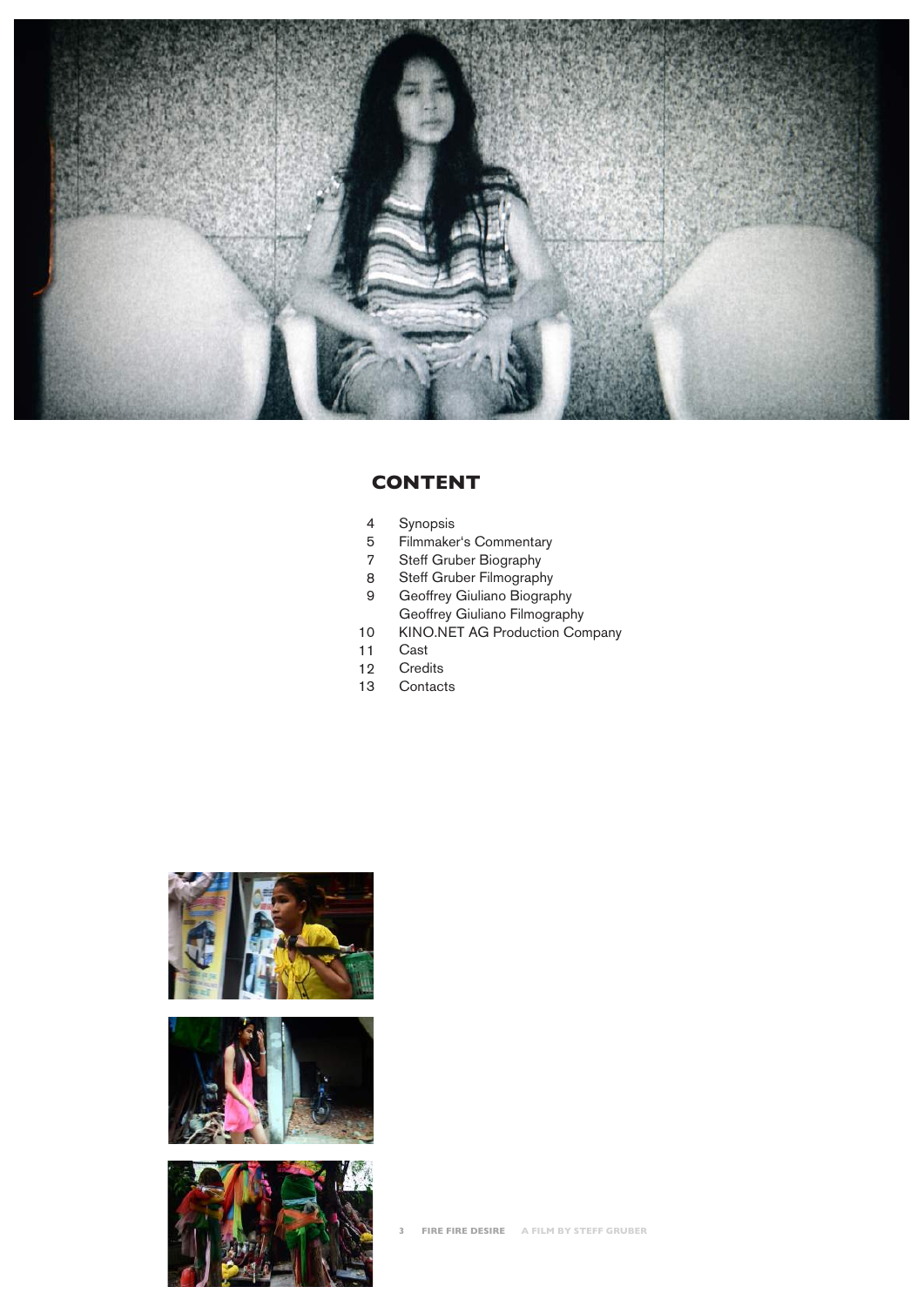

#### **CONTENT**

- Synopsis 4
- Filmmaker's Commentary 5
- Steff Gruber Biography 7
- Steff Gruber Filmography 8
- Geoffrey Giuliano Biography Geoffrey Giuliano Filmography 9
- KINO.NET AG Production Company 10
- Cast 11
- **Credits** 12
- **Contacts** 13

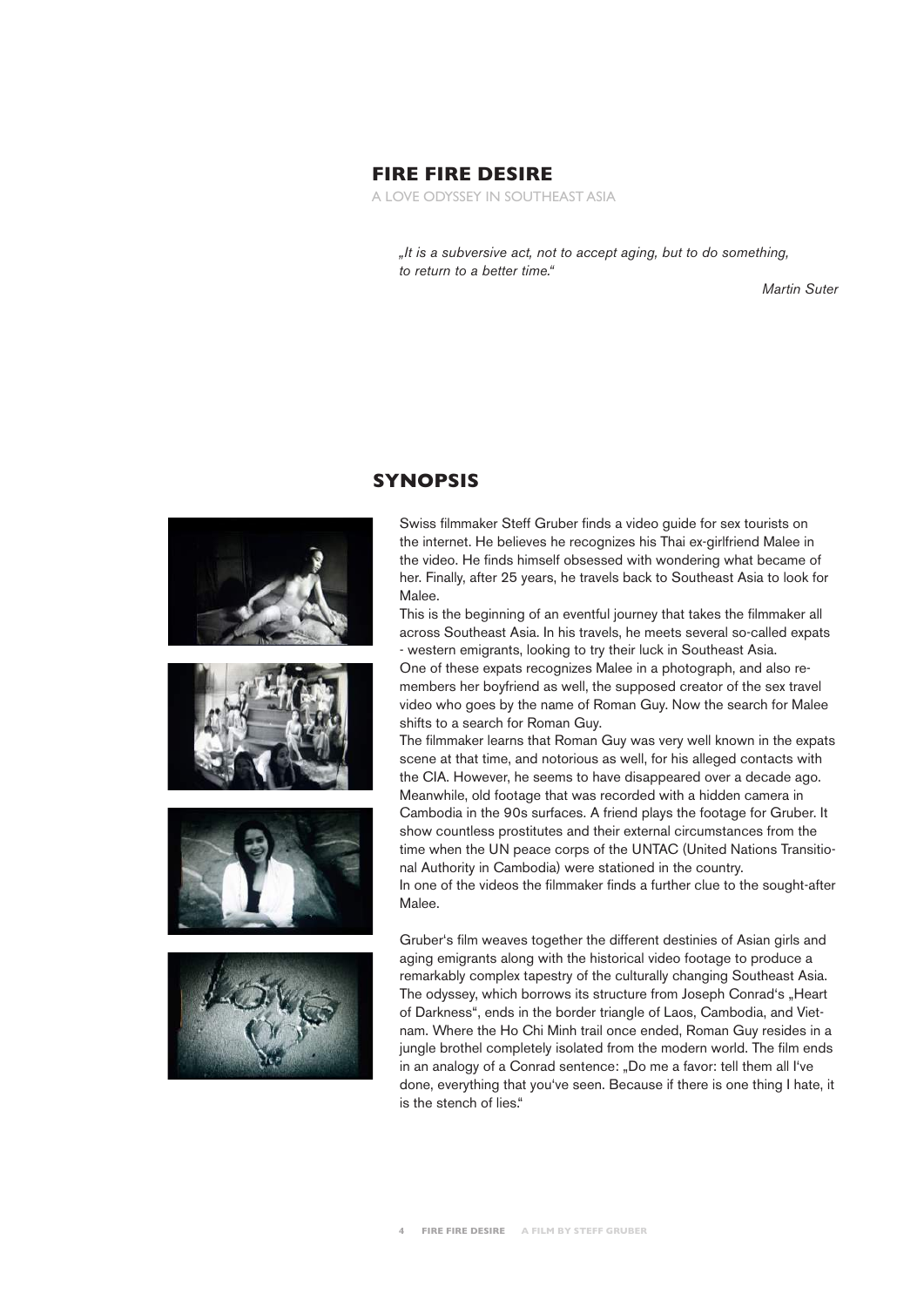#### **FIRE FIRE DESIRE**

A LOVE ODYSSEY IN SOUTHEAST ASIA

*"It is a subversive act, not to accept aging, but to do something, to return to a better time."*

*Martin Suter*





#### **SYNOPSIS**

Swiss filmmaker Steff Gruber finds a video guide for sex tourists on the internet. He believes he recognizes his Thai ex-girlfriend Malee in the video. He finds himself obsessed with wondering what became of her. Finally, after 25 years, he travels back to Southeast Asia to look for Malee.

This is the beginning of an eventful journey that takes the filmmaker all across Southeast Asia. In his travels, he meets several so-called expats - western emigrants, looking to try their luck in Southeast Asia.

One of these expats recognizes Malee in a photograph, and also remembers her boyfriend as well, the supposed creator of the sex travel video who goes by the name of Roman Guy. Now the search for Malee shifts to a search for Roman Guy.

The filmmaker learns that Roman Guy was very well known in the expats scene at that time, and notorious as well, for his alleged contacts with the CIA. However, he seems to have disappeared over a decade ago. Meanwhile, old footage that was recorded with a hidden camera in Cambodia in the 90s surfaces. A friend plays the footage for Gruber. It show countless prostitutes and their external circumstances from the time when the UN peace corps of the UNTAC (United Nations Transitional Authority in Cambodia) were stationed in the country. In one of the videos the filmmaker finds a further clue to the sought-after Malee.

Gruber's film weaves together the different destinies of Asian girls and aging emigrants along with the historical video footage to produce a remarkably complex tapestry of the culturally changing Southeast Asia. The odyssey, which borrows its structure from Joseph Conrad's "Heart of Darkness", ends in the border triangle of Laos, Cambodia, and Vietnam. Where the Ho Chi Minh trail once ended, Roman Guy resides in a jungle brothel completely isolated from the modern world. The film ends in an analogy of a Conrad sentence: "Do me a favor: tell them all I've done, everything that you've seen. Because if there is one thing I hate, it is the stench of lies."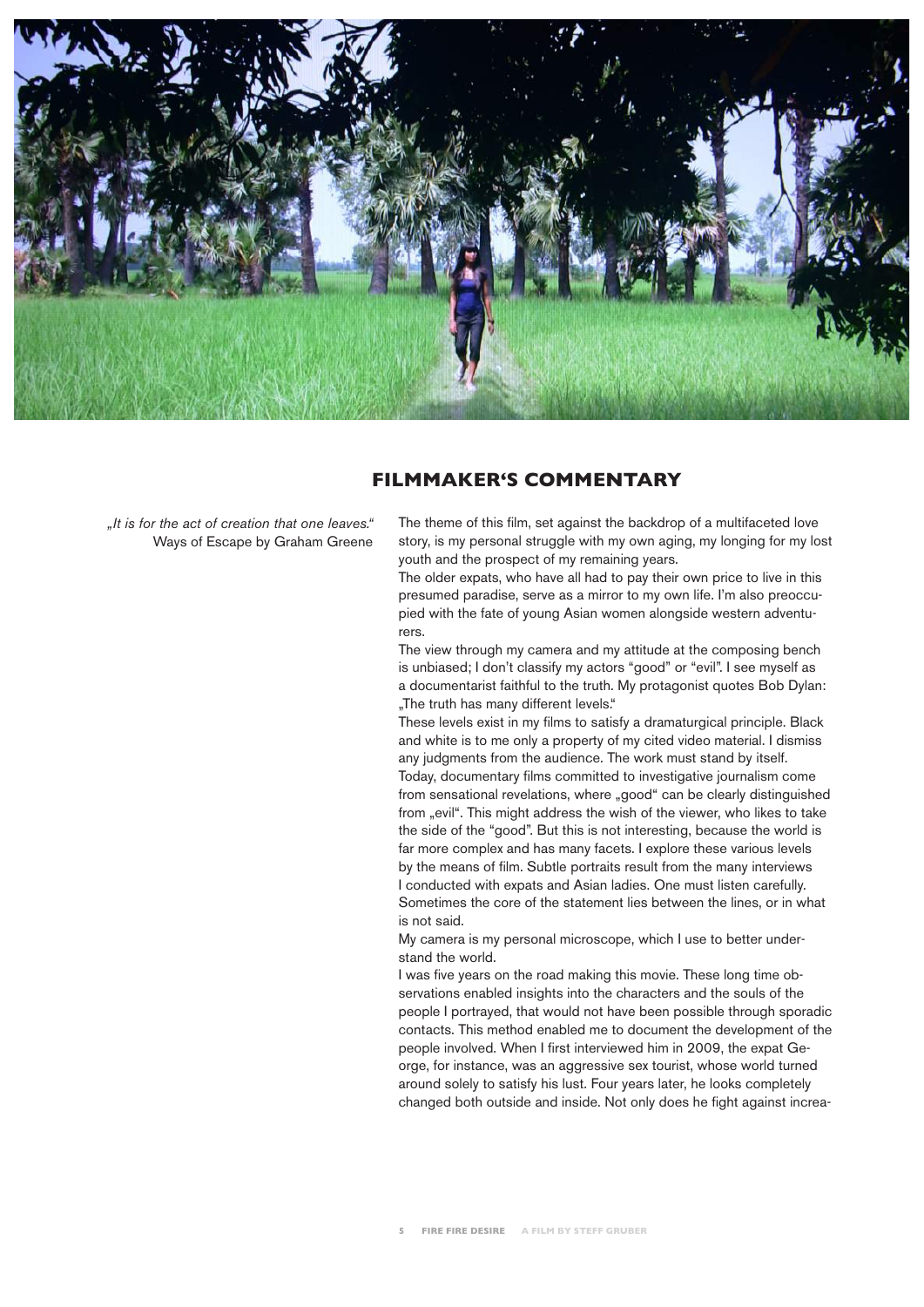

#### **FILMMAKER'S COMMENTARY**

*"It is for the act of creation that one leaves."* Ways of Escape by Graham Greene The theme of this film, set against the backdrop of a multifaceted love story, is my personal struggle with my own aging, my longing for my lost youth and the prospect of my remaining years.

The older expats, who have all had to pay their own price to live in this presumed paradise, serve as a mirror to my own life. I'm also preoccupied with the fate of young Asian women alongside western adventurers.

The view through my camera and my attitude at the composing bench is unbiased; I don't classify my actors "good" or "evil". I see myself as a documentarist faithful to the truth. My protagonist quotes Bob Dylan: "The truth has many different levels."

These levels exist in my films to satisfy a dramaturgical principle. Black and white is to me only a property of my cited video material. I dismiss any judgments from the audience. The work must stand by itself. Today, documentary films committed to investigative journalism come from sensational revelations, where "good" can be clearly distinguished from "evil". This might address the wish of the viewer, who likes to take the side of the "good". But this is not interesting, because the world is far more complex and has many facets. I explore these various levels by the means of film. Subtle portraits result from the many interviews I conducted with expats and Asian ladies. One must listen carefully. Sometimes the core of the statement lies between the lines, or in what is not said.

My camera is my personal microscope, which I use to better understand the world.

I was five years on the road making this movie. These long time observations enabled insights into the characters and the souls of the people I portrayed, that would not have been possible through sporadic contacts. This method enabled me to document the development of the people involved. When I first interviewed him in 2009, the expat George, for instance, was an aggressive sex tourist, whose world turned around solely to satisfy his lust. Four years later, he looks completely changed both outside and inside. Not only does he fight against increa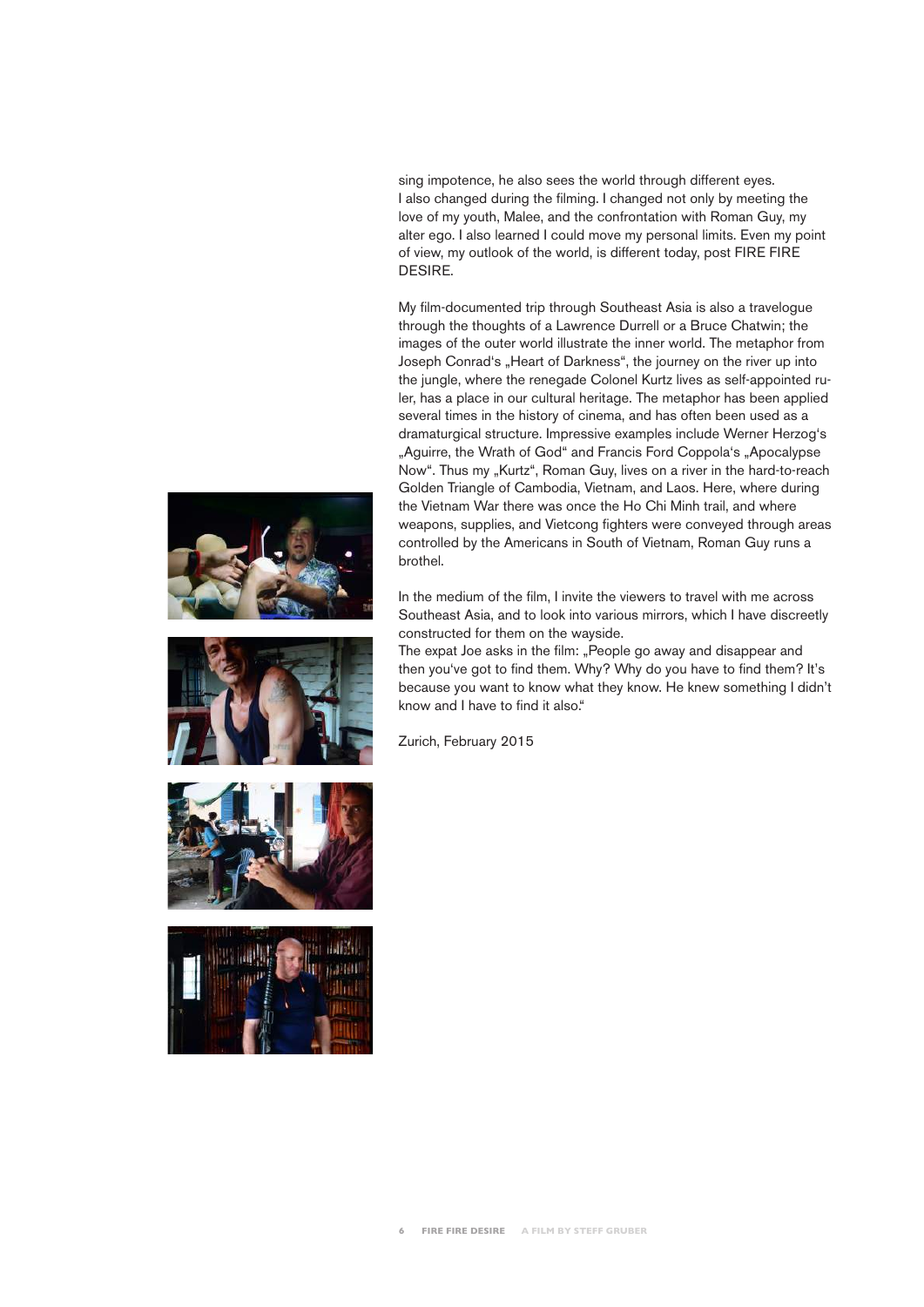sing impotence, he also sees the world through different eyes. I also changed during the filming. I changed not only by meeting the love of my youth, Malee, and the confrontation with Roman Guy, my alter ego. I also learned I could move my personal limits. Even my point of view, my outlook of the world, is different today, post FIRE FIRE DESIRE.

My film-documented trip through Southeast Asia is also a travelogue through the thoughts of a Lawrence Durrell or a Bruce Chatwin; the images of the outer world illustrate the inner world. The metaphor from Joseph Conrad's "Heart of Darkness", the journey on the river up into the jungle, where the renegade Colonel Kurtz lives as self-appointed ruler, has a place in our cultural heritage. The metaphor has been applied several times in the history of cinema, and has often been used as a dramaturgical structure. Impressive examples include Werner Herzog's "Aguirre, the Wrath of God" and Francis Ford Coppola's "Apocalypse Now". Thus my "Kurtz", Roman Guy, lives on a river in the hard-to-reach Golden Triangle of Cambodia, Vietnam, and Laos. Here, where during the Vietnam War there was once the Ho Chi Minh trail, and where weapons, supplies, and Vietcong fighters were conveyed through areas controlled by the Americans in South of Vietnam, Roman Guy runs a brothel.

In the medium of the film, I invite the viewers to travel with me across Southeast Asia, and to look into various mirrors, which I have discreetly constructed for them on the wayside.

The expat Joe asks in the film: "People go away and disappear and then you've got to find them. Why? Why do you have to find them? It's because you want to know what they know. He knew something I didn't know and I have to find it also."

Zurich, February 2015





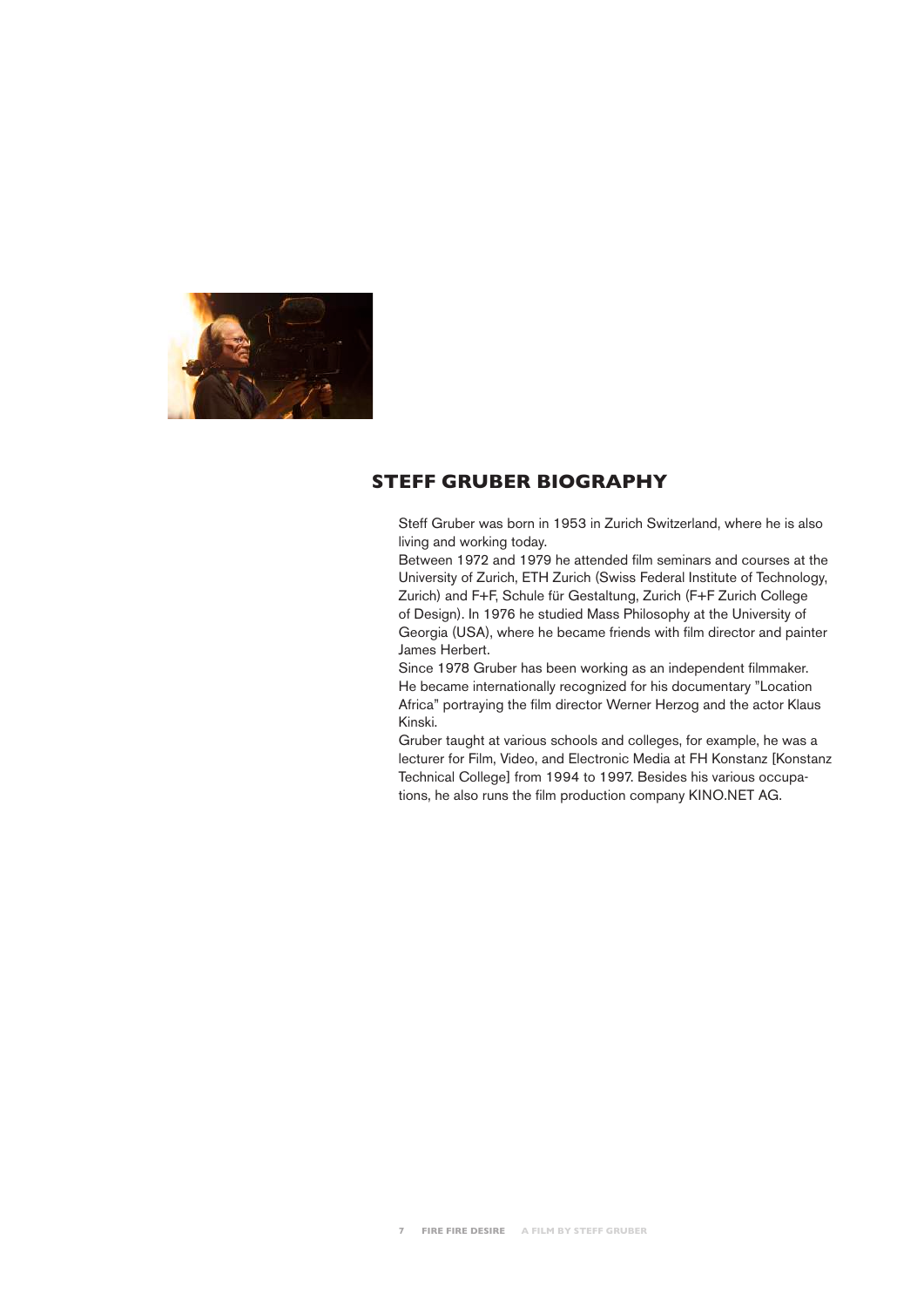

#### **STEFF GRUBER BIOGRAPHY**

Steff Gruber was born in 1953 in Zurich Switzerland, where he is also living and working today.

Between 1972 and 1979 he attended film seminars and courses at the University of Zurich, ETH Zurich (Swiss Federal Institute of Technology, Zurich) and F+F, Schule für Gestaltung, Zurich (F+F Zurich College of Design). In 1976 he studied Mass Philosophy at the University of Georgia (USA), where he became friends with film director and painter James Herbert.

Since 1978 Gruber has been working as an independent filmmaker. He became internationally recognized for his documentary "Location Africa" portraying the film director Werner Herzog and the actor Klaus Kinski.

Gruber taught at various schools and colleges, for example, he was a lecturer for Film, Video, and Electronic Media at FH Konstanz [Konstanz Technical College] from 1994 to 1997. Besides his various occupations, he also runs the film production company KINO.NET AG.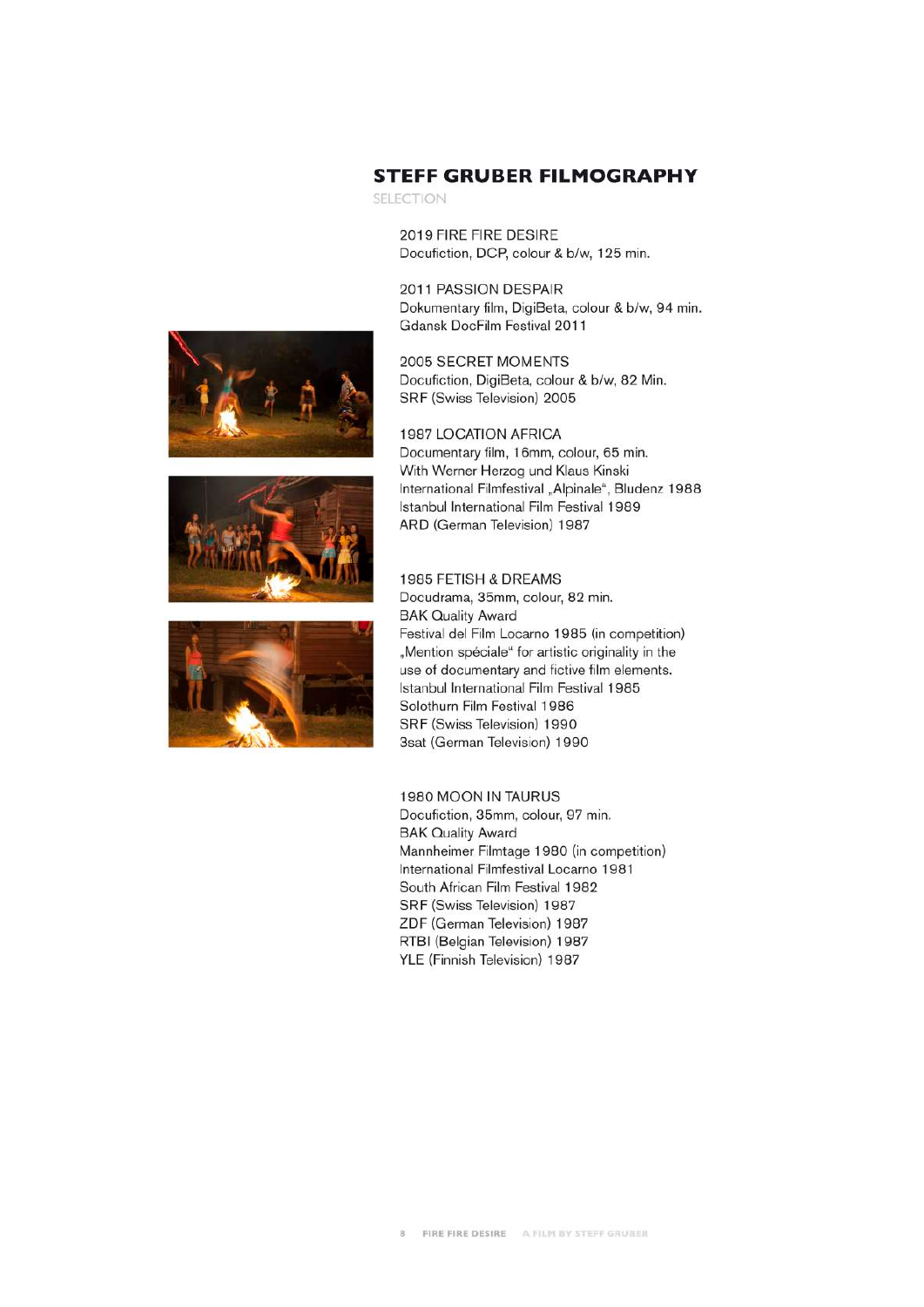





#### **STEFF GRUBER FILMOGRAPHY**

SELECTION

2019 FIRE FIRE DESIRE Docufiction, DCP, colour & b/w, 125 min.

2011 PASSION DESPAIR Dokumentary film, DigiBeta, colour & b/w, 94 min. Gdansk DocFilm Festival 2011

2005 SECRET MOMENTS Docufiction, DigiBeta, colour & b/w, 82 Min. SRF (Swiss Television) 2005

**1987 LOCATION AFRICA** Documentary film, 16mm, colour, 65 min. With Werner Herzog und Klaus Kinski International Filmfestival "Alpinale", Bludenz 1988 Istanbul International Film Festival 1989 ARD (German Television) 1987

#### 1985 FETISH & DREAMS

Docudrama, 35mm, colour, 82 min. **BAK Quality Award** Festival del Film Locarno 1985 (in competition) "Mention spéciale" for artistic originality in the use of documentary and fictive film elements. Istanbul International Film Festival 1985 Solothurn Film Festival 1986 SRF (Swiss Television) 1990 3sat (German Television) 1990

#### 1980 MOON IN TAURUS

Docufiction, 35mm, colour, 97 min. **BAK Quality Award** Mannheimer Filmtage 1980 (in competition) International Filmfestival Locarno 1981 South African Film Festival 1982 SRF (Swiss Television) 1987 ZDF (German Television) 1987 RTBI (Belgian Television) 1987 YLE (Finnish Television) 1987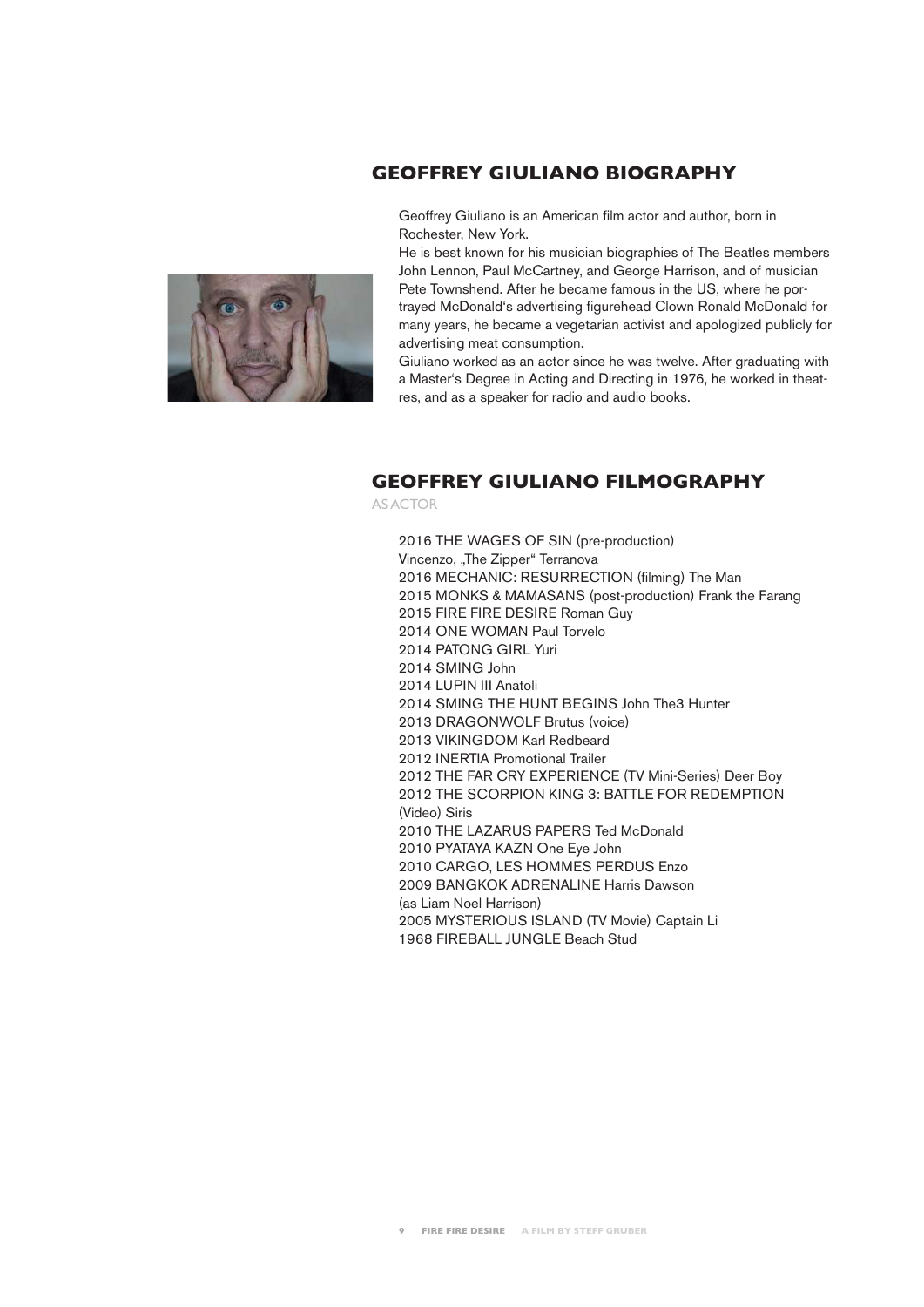#### **GEOFFREY GIULIANO BIOGRAPHY**

Geoffrey Giuliano is an American film actor and author, born in Rochester, New York.



Giuliano worked as an actor since he was twelve. After graduating with a Master's Degree in Acting and Directing in 1976, he worked in theatres, and as a speaker for radio and audio books.

#### **GEOFFREY GIULIANO FILMOGRAPHY**

AS ACTOR

2016 THE WAGES OF SIN (pre-production) Vincenzo, "The Zipper" Terranova 2016 MECHANIC: RESURRECTION (filming) The Man 2015 MONKS & MAMASANS (post-production) Frank the Farang 2015 FIRE FIRE DESIRE Roman Guy 2014 ONE WOMAN Paul Torvelo 2014 PATONG GIRL Yuri 2014 SMING John 2014 LUPIN III Anatoli 2014 SMING THE HUNT BEGINS John The3 Hunter 2013 DRAGONWOLF Brutus (voice) 2013 VIKINGDOM Karl Redbeard 2012 INERTIA Promotional Trailer 2012 THE FAR CRY EXPERIENCE (TV Mini-Series) Deer Boy 2012 THE SCORPION KING 3: BATTLE FOR REDEMPTION (Video) Siris 2010 THE LAZARUS PAPERS Ted McDonald 2010 PYATAYA KAZN One Eye John 2010 CARGO, LES HOMMES PERDUS Enzo 2009 BANGKOK ADRENALINE Harris Dawson (as Liam Noel Harrison) 2005 MYSTERIOUS ISLAND (TV Movie) Captain Li 1968 FIREBALL JUNGLE Beach Stud

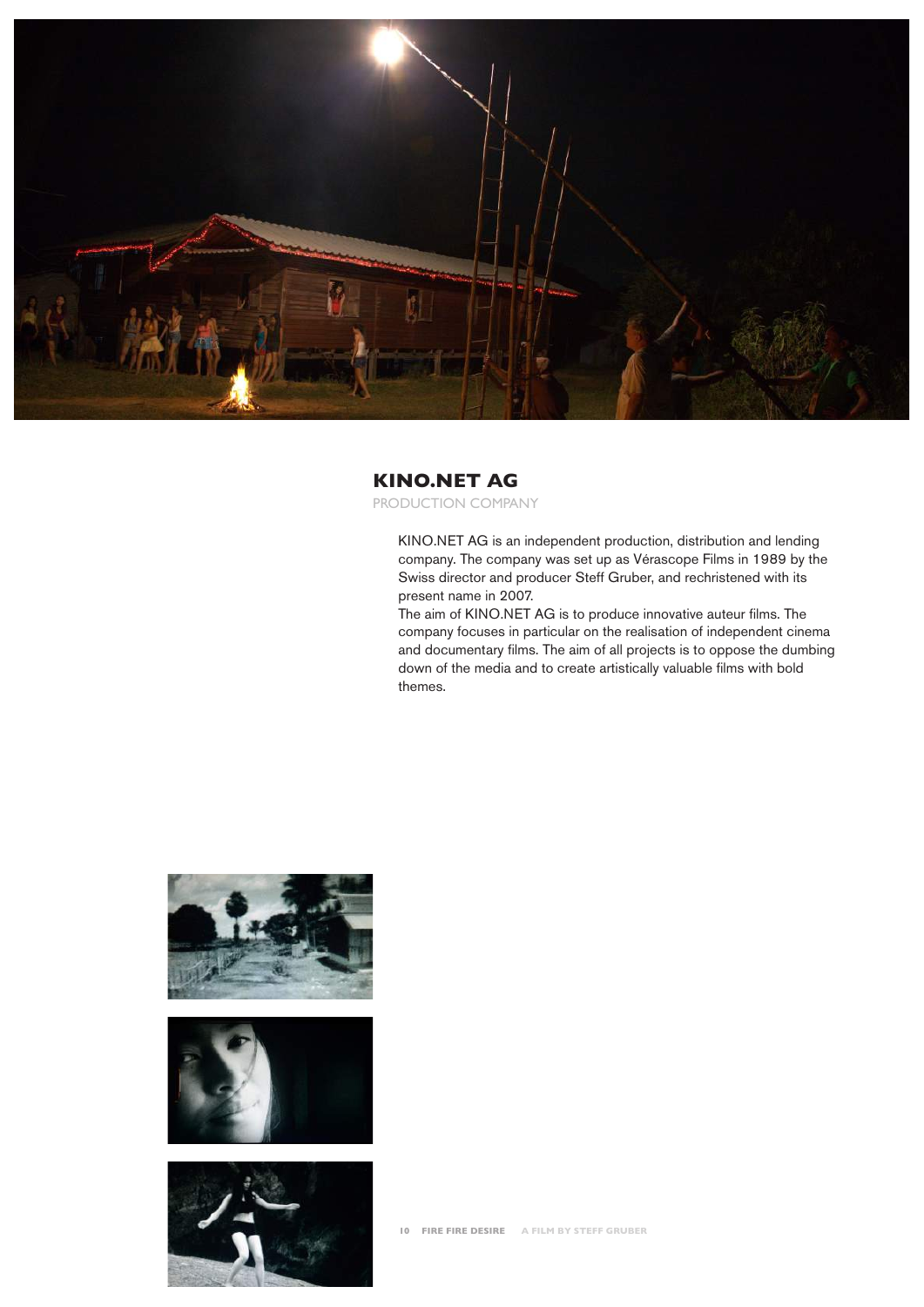

#### **KINO.NET AG**

PRODUCTION COMPANY

KINO.NET AG is an independent production, distribution and lending company. The company was set up as Vérascope Films in 1989 by the Swiss director and producer Steff Gruber, and rechristened with its present name in 2007.

The aim of KINO.NET AG is to produce innovative auteur films. The company focuses in particular on the realisation of independent cinema and documentary films. The aim of all projects is to oppose the dumbing down of the media and to create artistically valuable films with bold themes.





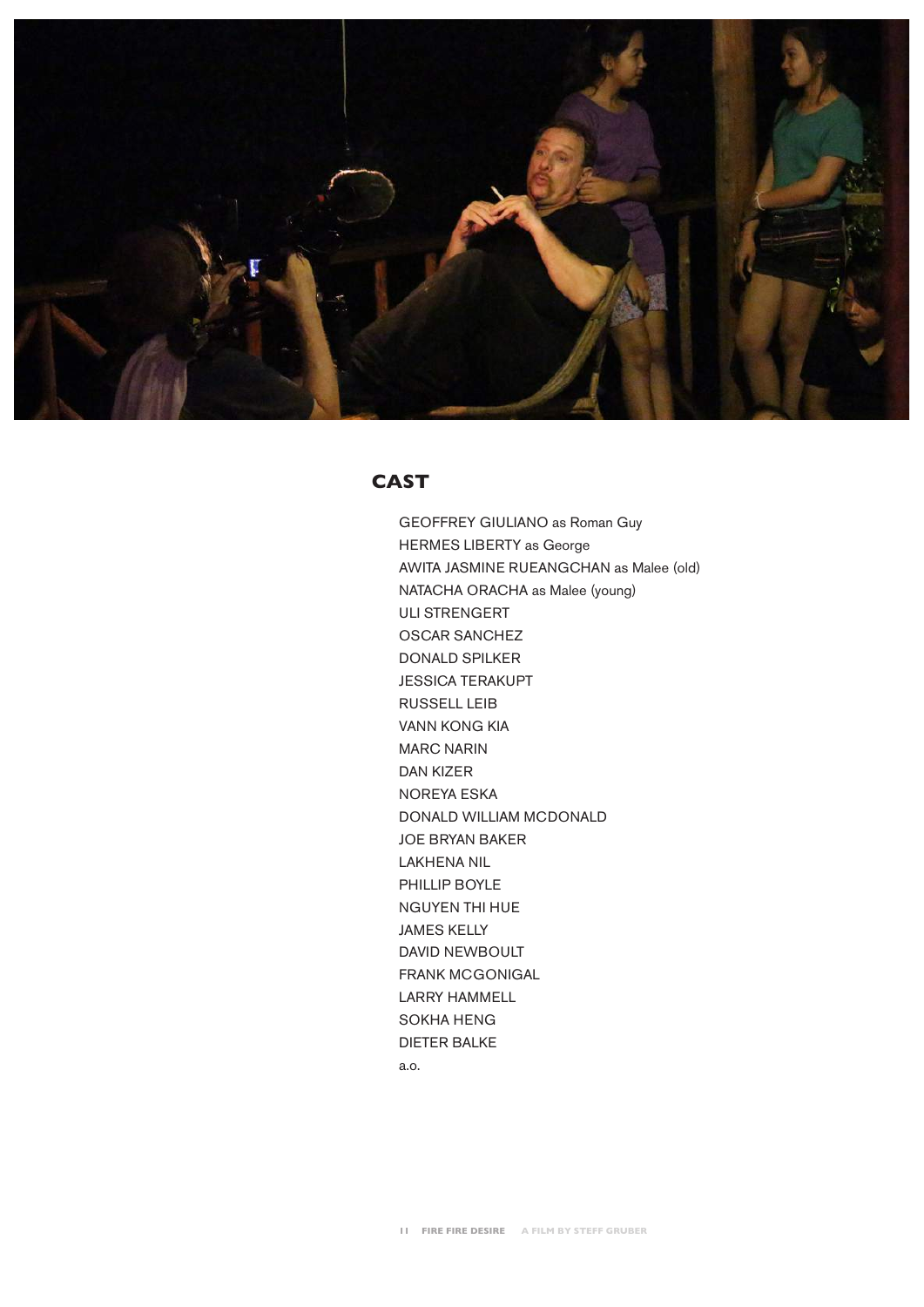

#### **CAST**

GEOFFREY GIULIANO as Roman Guy HERMES LIBERTY as George AWITA JASMINE RUEANGCHAN as Malee (old) NATACHA ORACHA as Malee (young) ULI STRENGERT OSCAR SANCHEZ DONALD SPILKER JESSICA TERAKUPT RUSSELL LEIB VANN KONG KIA MARC NARIN DAN KIZER NOREYA ESKA DONALD WILLIAM MCDONALD JOE BRYAN BAKER LAKHENA NIL PHILLIP BOYLE NGUYEN THI HUE JAMES KELLY DAVID NEWBOULT FRANK MCGONIGAL LARRY HAMMELL SOKHA HENG DIETER BALKE a.o.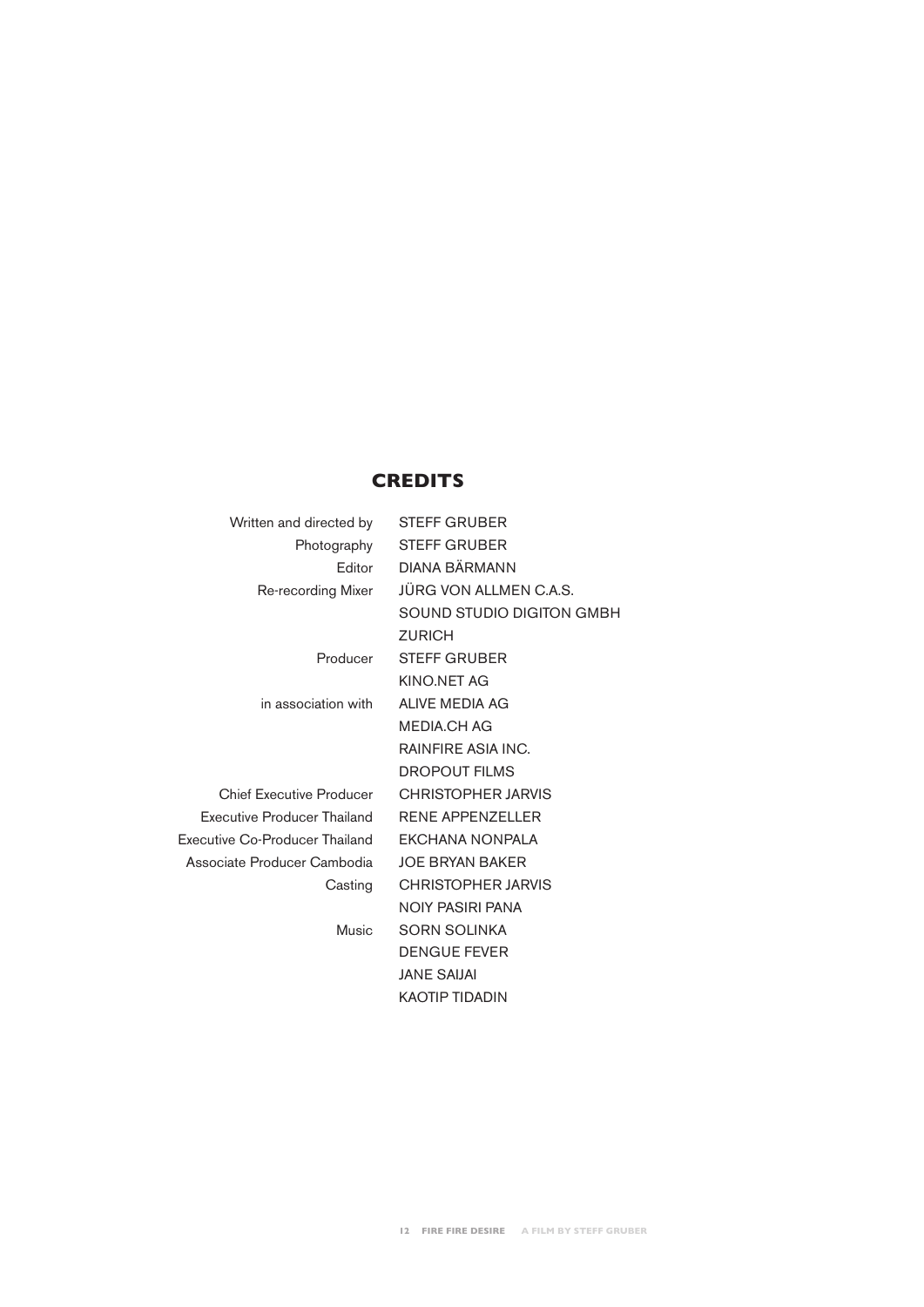### **CREDITS**

| Written and directed by        | <b>STEFF GRUBER</b>       |
|--------------------------------|---------------------------|
| Photography                    | <b>STEFF GRUBER</b>       |
| Editor                         | DIANA BÄRMANN             |
| Re-recording Mixer             | JÜRG VON ALLMEN C.A.S.    |
|                                | SOUND STUDIO DIGITON GMBH |
|                                | <b>ZURICH</b>             |
| Producer                       | <b>STEFF GRUBER</b>       |
|                                | KINO.NET AG               |
| in association with            | ALIVE MEDIA AG            |
|                                | <b>MEDIA.CH AG</b>        |
|                                | RAINFIRE ASIA INC.        |
|                                | <b>DROPOUT FILMS</b>      |
| Chief Executive Producer       | <b>CHRISTOPHER JARVIS</b> |
| Executive Producer Thailand    | <b>RENE APPENZELLER</b>   |
| Executive Co-Producer Thailand | <b>EKCHANA NONPALA</b>    |
| Associate Producer Cambodia    | <b>JOE BRYAN BAKER</b>    |
| Casting                        | <b>CHRISTOPHER JARVIS</b> |
|                                | <b>NOIY PASIRI PANA</b>   |
| Music                          | <b>SORN SOLINKA</b>       |
|                                | <b>DENGUE FEVER</b>       |
|                                | <b>JANE SAIJAI</b>        |
|                                | <b>KAOTIP TIDADIN</b>     |